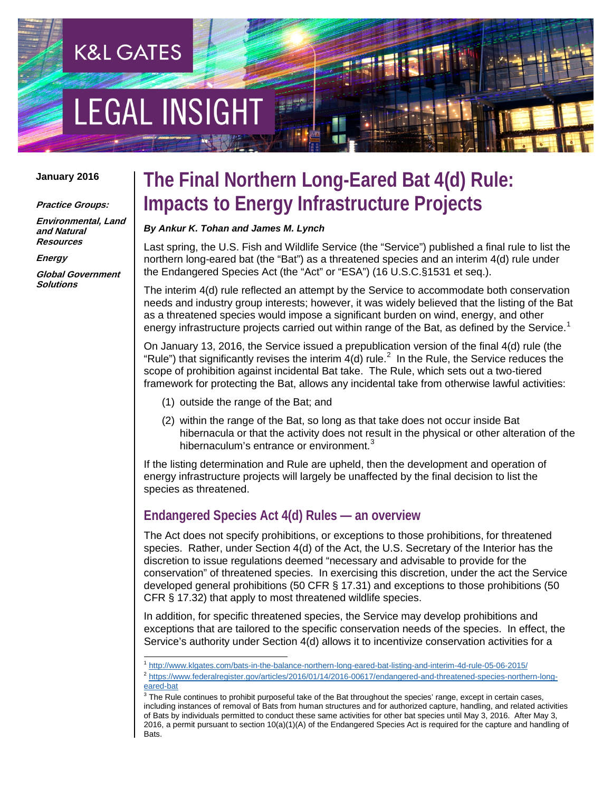# EGAL INSIGHT

**K&L GATES** 

#### **January 2016**

#### **Practice Groups:**

**Environmental, Land and Natural Resources**

**Energy**

**Global Government Solutions**

# **The Final Northern Long-Eared Bat 4(d) Rule: Impacts to Energy Infrastructure Projects**

#### *By Ankur K. Tohan and James M. Lynch*

Last spring, the U.S. Fish and Wildlife Service (the "Service") published a final rule to list the northern long-eared bat (the "Bat") as a threatened species and an interim 4(d) rule under the Endangered Species Act (the "Act" or "ESA") (16 U.S.C.§1531 et seq.).

The interim 4(d) rule reflected an attempt by the Service to accommodate both conservation needs and industry group interests; however, it was widely believed that the listing of the Bat as a threatened species would impose a significant burden on wind, energy, and other energy infrastructure projects carried out within range of the Bat, as defined by the Service.<sup>[1](#page-0-0)</sup>

On January 13, 2016, the Service issued a prepublication version of the final 4(d) rule (the "Rule") that significantly revises the interim 4(d) rule.<sup>[2](#page-0-1)</sup> In the Rule, the Service reduces the scope of prohibition against incidental Bat take. The Rule, which sets out a two-tiered framework for protecting the Bat, allows any incidental take from otherwise lawful activities:

- (1) outside the range of the Bat; and
- (2) within the range of the Bat, so long as that take does not occur inside Bat hibernacula or that the activity does not result in the physical or other alteration of the hibernaculum's entrance or environment.<sup>[3](#page-0-2)</sup>

If the listing determination and Rule are upheld, then the development and operation of energy infrastructure projects will largely be unaffected by the final decision to list the species as threatened.

#### **Endangered Species Act 4(d) Rules — an overview**

The Act does not specify prohibitions, or exceptions to those prohibitions, for threatened species. Rather, under Section 4(d) of the Act, the U.S. Secretary of the Interior has the discretion to issue regulations deemed "necessary and advisable to provide for the conservation" of threatened species. In exercising this discretion, under the act the Service developed general prohibitions (50 CFR § 17.31) and exceptions to those prohibitions (50 CFR § 17.32) that apply to most threatened wildlife species.

In addition, for specific threatened species, the Service may develop prohibitions and exceptions that are tailored to the specific conservation needs of the species. In effect, the Service's authority under Section 4(d) allows it to incentivize conservation activities for a

<sup>2</sup> [https://www.federalregister.gov/articles/2016/01/14/2016-00617/endangered-and-threatened-species-northern-long](https://www.federalregister.gov/articles/2016/01/14/2016-00617/endangered-and-threatened-species-northern-long-eared-bat)[eared-bat](https://www.federalregister.gov/articles/2016/01/14/2016-00617/endangered-and-threatened-species-northern-long-eared-bat)

<span id="page-0-2"></span> $3$  The Rule continues to prohibit purposeful take of the Bat throughout the species' range, except in certain cases, including instances of removal of Bats from human structures and for authorized capture, handling, and related activities of Bats by individuals permitted to conduct these same activities for other bat species until May 3, 2016. After May 3, 2016, a permit pursuant to section 10(a)(1)(A) of the Endangered Species Act is required for the capture and handling of Bats.

<span id="page-0-1"></span><span id="page-0-0"></span> <sup>1</sup> <http://www.klgates.com/bats-in-the-balance-northern-long-eared-bat-listing-and-interim-4d-rule-05-06-2015/>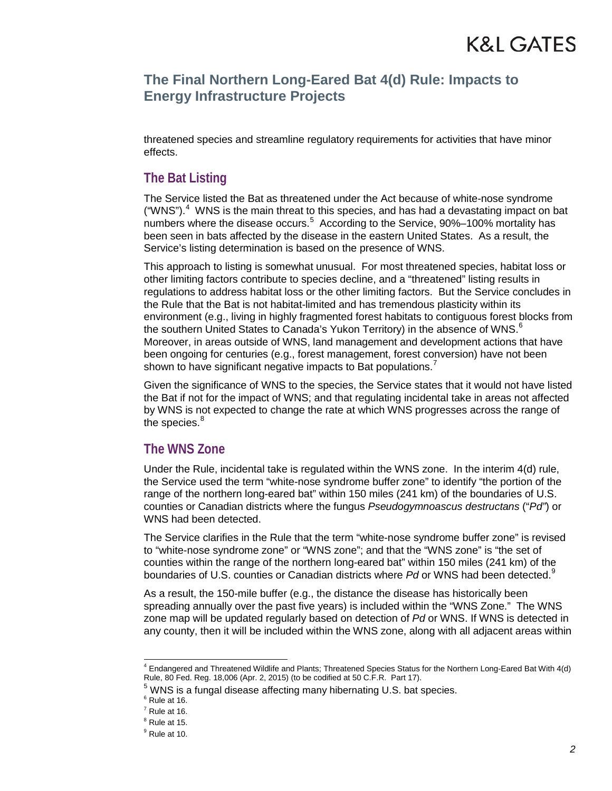threatened species and streamline regulatory requirements for activities that have minor effects.

#### **The Bat Listing**

The Service listed the Bat as threatened under the Act because of white-nose syndrome ("WNS"). $4$  WNS is the main threat to this species, and has had a devastating impact on bat numbers where the disease occurs.<sup>[5](#page-1-1)</sup> According to the Service, 90%-100% mortality has been seen in bats affected by the disease in the eastern United States. As a result, the Service's listing determination is based on the presence of WNS.

This approach to listing is somewhat unusual. For most threatened species, habitat loss or other limiting factors contribute to species decline, and a "threatened" listing results in regulations to address habitat loss or the other limiting factors. But the Service concludes in the Rule that the Bat is not habitat-limited and has tremendous plasticity within its environment (e.g., living in highly fragmented forest habitats to contiguous forest blocks from the southern United States to Canada's Yukon Territory) in the absence of WNS.<sup>[6](#page-1-2)</sup> Moreover, in areas outside of WNS, land management and development actions that have been ongoing for centuries (e.g., forest management, forest conversion) have not been shown to have significant negative impacts to Bat populations.

Given the significance of WNS to the species, the Service states that it would not have listed the Bat if not for the impact of WNS; and that regulating incidental take in areas not affected by WNS is not expected to change the rate at which WNS progresses across the range of the species. $^8\,$  $^8\,$  $^8\,$ 

#### **The WNS Zone**

Under the Rule, incidental take is regulated within the WNS zone. In the interim 4(d) rule, the Service used the term "white-nose syndrome buffer zone" to identify "the portion of the range of the northern long-eared bat" within 150 miles (241 km) of the boundaries of U.S. counties or Canadian districts where the fungus *Pseudogymnoascus destructans* ("*Pd"*) or WNS had been detected.

The Service clarifies in the Rule that the term "white-nose syndrome buffer zone" is revised to "white-nose syndrome zone" or "WNS zone"; and that the "WNS zone" is "the set of counties within the range of the northern long-eared bat" within 150 miles (241 km) of the boundaries of U.S. counties or Canadian districts where Pd or WNS had been detected.<sup>[9](#page-1-5)</sup>

As a result, the 150-mile buffer (e.g., the distance the disease has historically been spreading annually over the past five years) is included within the "WNS Zone." The WNS zone map will be updated regularly based on detection of *Pd* or WNS. If WNS is detected in any county, then it will be included within the WNS zone, along with all adjacent areas within

<span id="page-1-0"></span> <sup>4</sup> Endangered and Threatened Wildlife and Plants; Threatened Species Status for the Northern Long-Eared Bat With 4(d) Rule, 80 Fed. Reg. 18,006 (Apr. 2, 2015) (to be codified at 50 C.F.R. Part 17).

 $5$  WNS is a fungal disease affecting many hibernating U.S. bat species.  $6$  Rule at 16.

<span id="page-1-3"></span><span id="page-1-2"></span><span id="page-1-1"></span>

 $^7$  Rule at 16.<br> $^8$  Rule at 15.

<span id="page-1-4"></span>

<span id="page-1-5"></span> $9$  Rule at 10.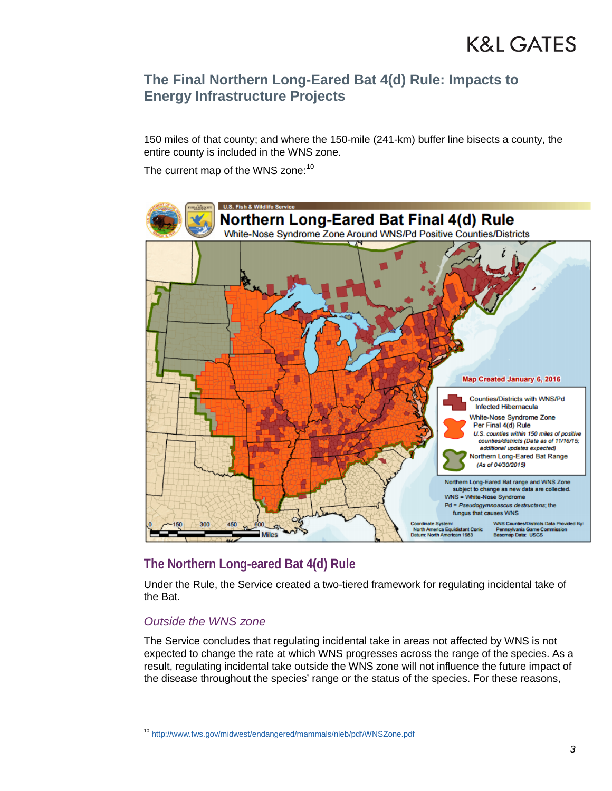150 miles of that county; and where the 150-mile (241-km) buffer line bisects a county, the entire county is included in the WNS zone.

The current map of the WNS zone:<sup>[10](#page-2-0)</sup>



# **The Northern Long-eared Bat 4(d) Rule**

Under the Rule, the Service created a two-tiered framework for regulating incidental take of the Bat.

#### *Outside the WNS zone*

The Service concludes that regulating incidental take in areas not affected by WNS is not expected to change the rate at which WNS progresses across the range of the species. As a result, regulating incidental take outside the WNS zone will not influence the future impact of the disease throughout the species' range or the status of the species. For these reasons,

<span id="page-2-0"></span> <sup>10</sup> <http://www.fws.gov/midwest/endangered/mammals/nleb/pdf/WNSZone.pdf>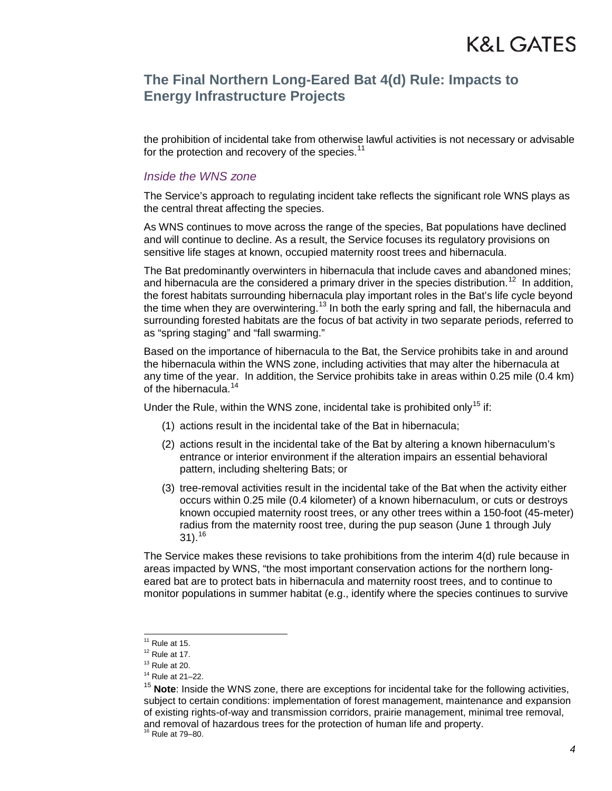the prohibition of incidental take from otherwise lawful activities is not necessary or advisable for the protection and recovery of the species.<sup>[11](#page-3-0)</sup>

#### *Inside the WNS zone*

The Service's approach to regulating incident take reflects the significant role WNS plays as the central threat affecting the species.

As WNS continues to move across the range of the species, Bat populations have declined and will continue to decline. As a result, the Service focuses its regulatory provisions on sensitive life stages at known, occupied maternity roost trees and hibernacula.

The Bat predominantly overwinters in hibernacula that include caves and abandoned mines; and hibernacula are the considered a primary driver in the species distribution.<sup>[12](#page-3-1)</sup> In addition, the forest habitats surrounding hibernacula play important roles in the Bat's life cycle beyond the time when they are overwintering.<sup>[13](#page-3-2)</sup> In both the early spring and fall, the hibernacula and surrounding forested habitats are the focus of bat activity in two separate periods, referred to as "spring staging" and "fall swarming."

Based on the importance of hibernacula to the Bat, the Service prohibits take in and around the hibernacula within the WNS zone, including activities that may alter the hibernacula at any time of the year. In addition, the Service prohibits take in areas within 0.25 mile (0.4 km) of the hibernacula.<sup>[14](#page-3-3)</sup>

Under the Rule, within the WNS zone, incidental take is prohibited only<sup>[15](#page-3-4)</sup> if:

- (1) actions result in the incidental take of the Bat in hibernacula;
- (2) actions result in the incidental take of the Bat by altering a known hibernaculum's entrance or interior environment if the alteration impairs an essential behavioral pattern, including sheltering Bats; or
- (3) tree-removal activities result in the incidental take of the Bat when the activity either occurs within 0.25 mile (0.4 kilometer) of a known hibernaculum, or cuts or destroys known occupied maternity roost trees, or any other trees within a 150-foot (45-meter) radius from the maternity roost tree, during the pup season (June 1 through July  $31$ ).<sup>[16](#page-3-5)</sup>

The Service makes these revisions to take prohibitions from the interim 4(d) rule because in areas impacted by WNS, "the most important conservation actions for the northern longeared bat are to protect bats in hibernacula and maternity roost trees, and to continue to monitor populations in summer habitat (e.g., identify where the species continues to survive

<sup>&</sup>lt;sup>11</sup> Rule at 15.<br> $12$  Rule at 17.<br> $13$  Rule at 20.

<span id="page-3-2"></span><span id="page-3-1"></span><span id="page-3-0"></span>

 $14$  Rule at 21–22.

<span id="page-3-4"></span><span id="page-3-3"></span><sup>15</sup> **Note**: Inside the WNS zone, there are exceptions for incidental take for the following activities, subject to certain conditions: implementation of forest management, maintenance and expansion of existing rights-of-way and transmission corridors, prairie management, minimal tree removal, and removal of hazardous trees for the protection of human life and property.

<span id="page-3-5"></span> $16$  Rule at 79-80.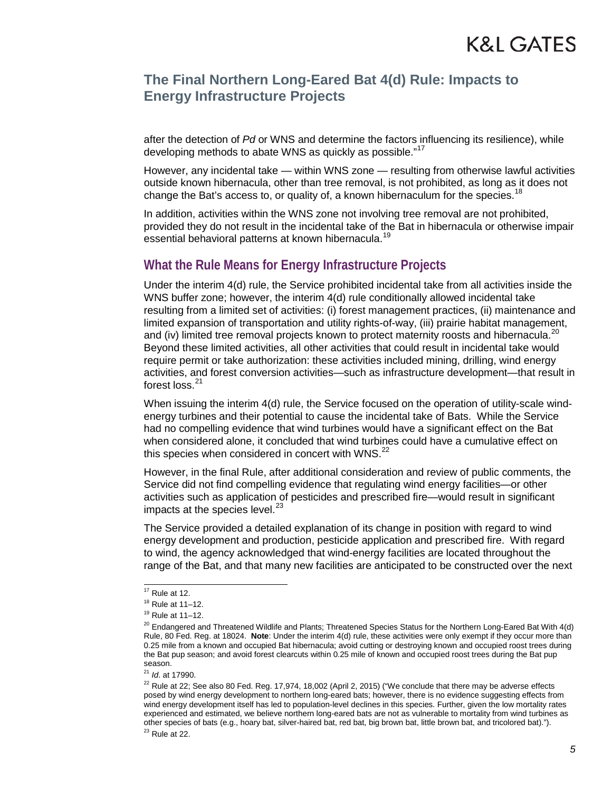after the detection of *Pd* or WNS and determine the factors influencing its resilience), while developing methods to abate WNS as quickly as possible."<sup>[17](#page-4-0)</sup>

However, any incidental take — within WNS zone — resulting from otherwise lawful activities outside known hibernacula, other than tree removal, is not prohibited, as long as it does not change the Bat's access to, or quality of, a known hibernaculum for the species.<sup>[18](#page-4-1)</sup>

In addition, activities within the WNS zone not involving tree removal are not prohibited, provided they do not result in the incidental take of the Bat in hibernacula or otherwise impair essential behavioral patterns at known hibernacula.<sup>[19](#page-4-2)</sup>

#### **What the Rule Means for Energy Infrastructure Projects**

Under the interim 4(d) rule, the Service prohibited incidental take from all activities inside the WNS buffer zone; however, the interim 4(d) rule conditionally allowed incidental take resulting from a limited set of activities: (i) forest management practices, (ii) maintenance and limited expansion of transportation and utility rights-of-way, (iii) prairie habitat management, and (iv) limited tree removal projects known to protect maternity roosts and hibernacula.<sup>20</sup> Beyond these limited activities, all other activities that could result in incidental take would require permit or take authorization: these activities included mining, drilling, wind energy activities, and forest conversion activities—such as infrastructure development—that result in forest loss.<sup>[21](#page-4-4)</sup>

When issuing the interim 4(d) rule, the Service focused on the operation of utility-scale windenergy turbines and their potential to cause the incidental take of Bats. While the Service had no compelling evidence that wind turbines would have a significant effect on the Bat when considered alone, it concluded that wind turbines could have a cumulative effect on this species when considered in concert with WNS. $^{22}$  $^{22}$  $^{22}$ 

However, in the final Rule, after additional consideration and review of public comments, the Service did not find compelling evidence that regulating wind energy facilities—or other activities such as application of pesticides and prescribed fire—would result in significant impacts at the species level. $^{23}$  $^{23}$  $^{23}$ 

The Service provided a detailed explanation of its change in position with regard to wind energy development and production, pesticide application and prescribed fire. With regard to wind, the agency acknowledged that wind-energy facilities are located throughout the range of the Bat, and that many new facilities are anticipated to be constructed over the next

<span id="page-4-2"></span><span id="page-4-1"></span>

<span id="page-4-3"></span>

<span id="page-4-0"></span><sup>&</sup>lt;sup>17</sup> Rule at 12.<br><sup>18</sup> Rule at 11–12.<br><sup>19</sup> Rule at 11–12.<br><sup>20</sup> Endangered and Threatened Wildlife and Plants; Threatened Species Status for the Northern Long-Eared Bat With 4(d) Rule, 80 Fed. Reg. at 18024. **Note**: Under the interim 4(d) rule, these activities were only exempt if they occur more than 0.25 mile from a known and occupied Bat hibernacula; avoid cutting or destroying known and occupied roost trees during the Bat pup season; and avoid forest clearcuts within 0.25 mile of known and occupied roost trees during the Bat pup season.

<sup>21</sup> *Id*. at 17990.

<span id="page-4-6"></span><span id="page-4-5"></span><span id="page-4-4"></span> $22$  Rule at 22; See also 80 Fed. Reg. 17,974, 18,002 (April 2, 2015) ("We conclude that there may be adverse effects posed by wind energy development to northern long-eared bats; however, there is no evidence suggesting effects from wind energy development itself has led to population-level declines in this species. Further, given the low mortality rates experienced and estimated, we believe northern long-eared bats are not as vulnerable to mortality from wind turbines as other species of bats (e.g., hoary bat, silver-haired bat, red bat, big brown bat, little brown bat, and tricolored bat).").  $23$  Rule at 22.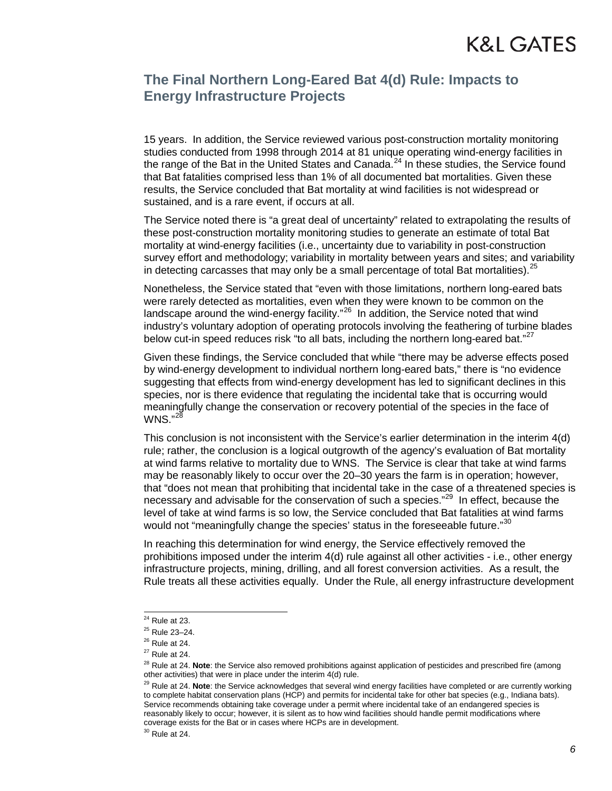15 years. In addition, the Service reviewed various post-construction mortality monitoring studies conducted from 1998 through 2014 at 81 unique operating wind-energy facilities in the range of the Bat in the United States and Canada.<sup>[24](#page-5-0)</sup> In these studies, the Service found that Bat fatalities comprised less than 1% of all documented bat mortalities. Given these results, the Service concluded that Bat mortality at wind facilities is not widespread or sustained, and is a rare event, if occurs at all.

The Service noted there is "a great deal of uncertainty" related to extrapolating the results of these post-construction mortality monitoring studies to generate an estimate of total Bat mortality at wind-energy facilities (i.e., uncertainty due to variability in post-construction survey effort and methodology; variability in mortality between years and sites; and variability in detecting carcasses that may only be a small percentage of total Bat mortalities).  $25$ 

Nonetheless, the Service stated that "even with those limitations, northern long-eared bats were rarely detected as mortalities, even when they were known to be common on the landscape around the wind-energy facility."<sup>26</sup> In addition, the Service noted that wind industry's voluntary adoption of operating protocols involving the feathering of turbine blades below cut-in speed reduces risk "to all bats, including the northern long-eared bat."<sup>[27](#page-5-3)</sup>

Given these findings, the Service concluded that while "there may be adverse effects posed by wind-energy development to individual northern long-eared bats," there is "no evidence suggesting that effects from wind-energy development has led to significant declines in this species, nor is there evidence that regulating the incidental take that is occurring would meaningfully change the conservation or recovery potential of the species in the face of  $WNS.$ <sup>[28](#page-5-4)</sup>

This conclusion is not inconsistent with the Service's earlier determination in the interim 4(d) rule; rather, the conclusion is a logical outgrowth of the agency's evaluation of Bat mortality at wind farms relative to mortality due to WNS. The Service is clear that take at wind farms may be reasonably likely to occur over the 20–30 years the farm is in operation; however, that "does not mean that prohibiting that incidental take in the case of a threatened species is necessary and advisable for the conservation of such a species."<sup>[29](#page-5-5)</sup> In effect, because the level of take at wind farms is so low, the Service concluded that Bat fatalities at wind farms would not "meaningfully change the species' status in the foreseeable future."<sup>30</sup>

In reaching this determination for wind energy, the Service effectively removed the prohibitions imposed under the interim  $4(d)$  rule against all other activities - i.e., other energy infrastructure projects, mining, drilling, and all forest conversion activities. As a result, the Rule treats all these activities equally. Under the Rule, all energy infrastructure development

<span id="page-5-6"></span>

<sup>&</sup>lt;sup>24</sup> Rule at 23.<br><sup>25</sup> Rule 23–24.<br><sup>26</sup> Rule at 24.

<span id="page-5-1"></span><span id="page-5-0"></span>

<span id="page-5-2"></span>

<span id="page-5-4"></span><span id="page-5-3"></span> $27$  Rule at 24.

<sup>28</sup> Rule at 24. **Note**: the Service also removed prohibitions against application of pesticides and prescribed fire (among other activities) that were in place under the interim 4(d) rule.

<span id="page-5-5"></span><sup>&</sup>lt;sup>29</sup> Rule at 24. Note: the Service acknowledges that several wind energy facilities have completed or are currently working to complete habitat conservation plans (HCP) and permits for incidental take for other bat species (e.g., Indiana bats). Service recommends obtaining take coverage under a permit where incidental take of an endangered species is reasonably likely to occur; however, it is silent as to how wind facilities should handle permit modifications where coverage exists for the Bat or in cases where HCPs are in development.  $30$  Rule at 24.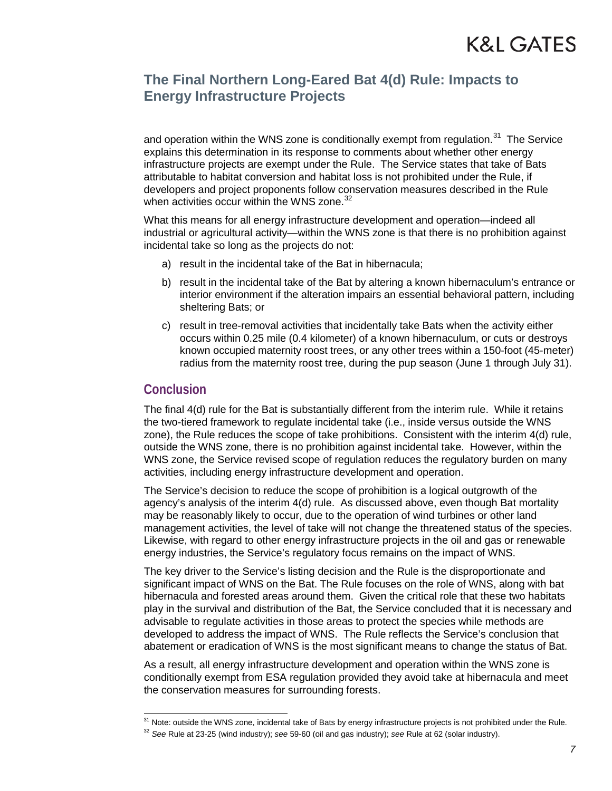and operation within the WNS zone is conditionally exempt from regulation.<sup>[31](#page-6-0)</sup> The Service explains this determination in its response to comments about whether other energy infrastructure projects are exempt under the Rule. The Service states that take of Bats attributable to habitat conversion and habitat loss is not prohibited under the Rule, if developers and project proponents follow conservation measures described in the Rule when activities occur within the WNS zone. $32$ 

What this means for all energy infrastructure development and operation—indeed all industrial or agricultural activity—within the WNS zone is that there is no prohibition against incidental take so long as the projects do not:

- a) result in the incidental take of the Bat in hibernacula;
- b) result in the incidental take of the Bat by altering a known hibernaculum's entrance or interior environment if the alteration impairs an essential behavioral pattern, including sheltering Bats; or
- c) result in tree-removal activities that incidentally take Bats when the activity either occurs within 0.25 mile (0.4 kilometer) of a known hibernaculum, or cuts or destroys known occupied maternity roost trees, or any other trees within a 150-foot (45-meter) radius from the maternity roost tree, during the pup season (June 1 through July 31).

#### **Conclusion**

The final 4(d) rule for the Bat is substantially different from the interim rule. While it retains the two-tiered framework to regulate incidental take (i.e., inside versus outside the WNS zone), the Rule reduces the scope of take prohibitions. Consistent with the interim  $4(d)$  rule, outside the WNS zone, there is no prohibition against incidental take. However, within the WNS zone, the Service revised scope of regulation reduces the regulatory burden on many activities, including energy infrastructure development and operation.

The Service's decision to reduce the scope of prohibition is a logical outgrowth of the agency's analysis of the interim 4(d) rule. As discussed above, even though Bat mortality may be reasonably likely to occur, due to the operation of wind turbines or other land management activities, the level of take will not change the threatened status of the species. Likewise, with regard to other energy infrastructure projects in the oil and gas or renewable energy industries, the Service's regulatory focus remains on the impact of WNS.

The key driver to the Service's listing decision and the Rule is the disproportionate and significant impact of WNS on the Bat. The Rule focuses on the role of WNS, along with bat hibernacula and forested areas around them. Given the critical role that these two habitats play in the survival and distribution of the Bat, the Service concluded that it is necessary and advisable to regulate activities in those areas to protect the species while methods are developed to address the impact of WNS. The Rule reflects the Service's conclusion that abatement or eradication of WNS is the most significant means to change the status of Bat.

As a result, all energy infrastructure development and operation within the WNS zone is conditionally exempt from ESA regulation provided they avoid take at hibernacula and meet the conservation measures for surrounding forests.

<span id="page-6-1"></span><span id="page-6-0"></span> $31$  Note: outside the WNS zone, incidental take of Bats by energy infrastructure projects is not prohibited under the Rule.<br> $32$  See Rule at 23-25 (wind industry); see 59-60 (oil and gas industry); see Rule at 62 (solar